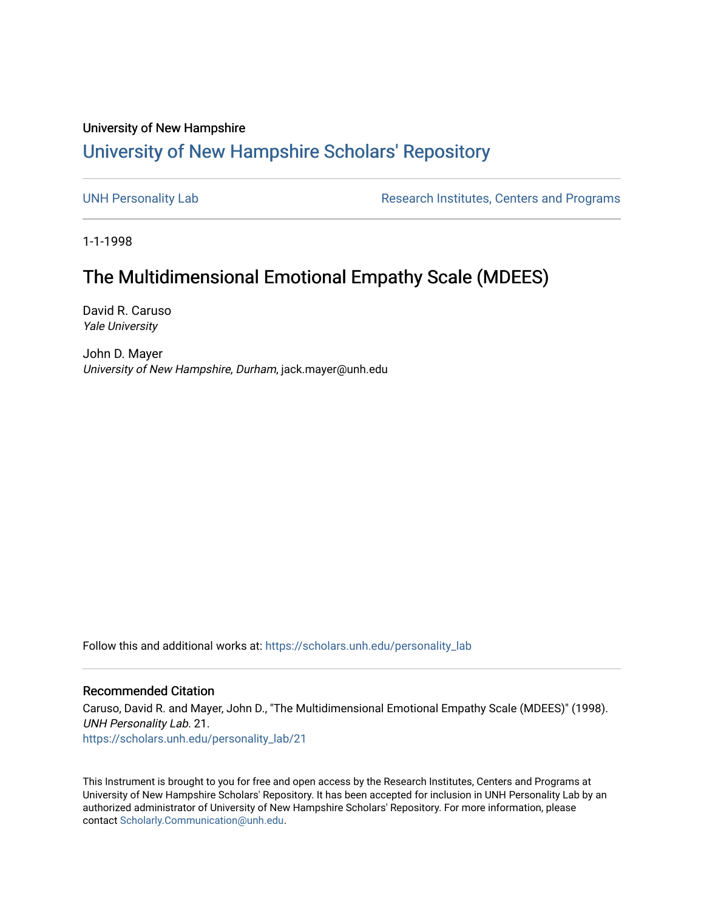## University of New Hampshire [University of New Hampshire Scholars' Repository](https://scholars.unh.edu/)

[UNH Personality Lab](https://scholars.unh.edu/personality_lab) **Research Institutes, Centers and Programs** 

1-1-1998

## The Multidimensional Emotional Empathy Scale (MDEES)

David R. Caruso Yale University

John D. Mayer University of New Hampshire, Durham, jack.mayer@unh.edu

Follow this and additional works at: [https://scholars.unh.edu/personality\\_lab](https://scholars.unh.edu/personality_lab?utm_source=scholars.unh.edu%2Fpersonality_lab%2F21&utm_medium=PDF&utm_campaign=PDFCoverPages) 

## Recommended Citation

Caruso, David R. and Mayer, John D., "The Multidimensional Emotional Empathy Scale (MDEES)" (1998). UNH Personality Lab. 21. [https://scholars.unh.edu/personality\\_lab/21](https://scholars.unh.edu/personality_lab/21?utm_source=scholars.unh.edu%2Fpersonality_lab%2F21&utm_medium=PDF&utm_campaign=PDFCoverPages) 

This Instrument is brought to you for free and open access by the Research Institutes, Centers and Programs at University of New Hampshire Scholars' Repository. It has been accepted for inclusion in UNH Personality Lab by an authorized administrator of University of New Hampshire Scholars' Repository. For more information, please contact [Scholarly.Communication@unh.edu.](mailto:Scholarly.Communication@unh.edu)